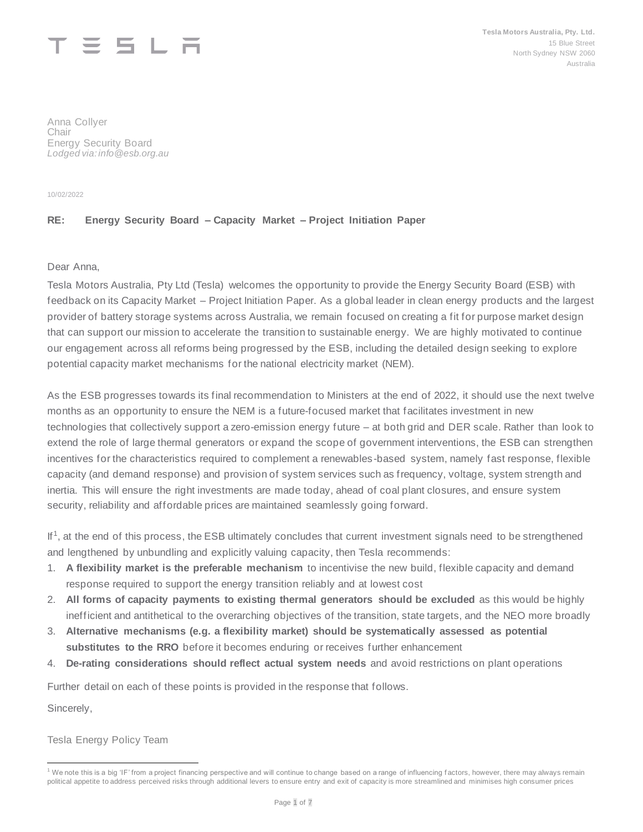# $\equiv$   $\equiv$   $\pm$   $\pm$

Anna Collyer Chair Energy Security Board *Lodged via: info@esb.org.au* 

10/02/2022

# **RE: Energy Security Board – Capacity Market – Project Initiation Paper**

Dear Anna,

Tesla Motors Australia, Pty Ltd (Tesla) welcomes the opportunity to provide the Energy Security Board (ESB) with feedback on its Capacity Market – Project Initiation Paper. As a global leader in clean energy products and the largest provider of battery storage systems across Australia, we remain focused on creating a fit for purpose market design that can support our mission to accelerate the transition to sustainable energy. We are highly motivated to continue our engagement across all reforms being progressed by the ESB, including the detailed design seeking to explore potential capacity market mechanisms for the national electricity market (NEM).

As the ESB progresses towards its final recommendation to Ministers at the end of 2022, it should use the next twelve months as an opportunity to ensure the NEM is a future-focused market that facilitates investment in new technologies that collectively support a zero-emission energy future – at both grid and DER scale. Rather than look to extend the role of large thermal generators or expand the scope of government interventions, the ESB can strengthen incentives for the characteristics required to complement a renewables-based system, namely fast response, flexible capacity (and demand response) and provision of system services such as frequency, voltage, system strength and inertia. This will ensure the right investments are made today, ahead of coal plant closures, and ensure system security, reliability and affordable prices are maintained seamlessly going forward.

If<sup>1</sup>, at the end of this process, the ESB ultimately concludes that current investment signals need to be strengthened and lengthened by unbundling and explicitly valuing capacity, then Tesla recommends:

- 1. **A flexibility market is the preferable mechanism** to incentivise the new build, flexible capacity and demand response required to support the energy transition reliably and at lowest cost
- 2. **All forms of capacity payments to existing thermal generators should be excluded** as this would be highly inefficient and antithetical to the overarching objectives of the transition, state targets, and the NEO more broadly
- 3. **Alternative mechanisms (e.g. a flexibility market) should be systematically assessed as potential substitutes to the RRO** before it becomes enduring or receives further enhancement
- 4. **De-rating considerations should reflect actual system needs** and avoid restrictions on plant operations

Further detail on each of these points is provided in the response that follows.

Sincerely,

Tesla Energy Policy Team

<sup>&</sup>lt;sup>1</sup> We note this is a big 'IF' from a project financing perspective and will continue to change based on a range of influencing factors, however, there may always remain political appetite to address perceived risks through additional levers to ensure entry and exit of capacity is more streamlined and minimises high consumer prices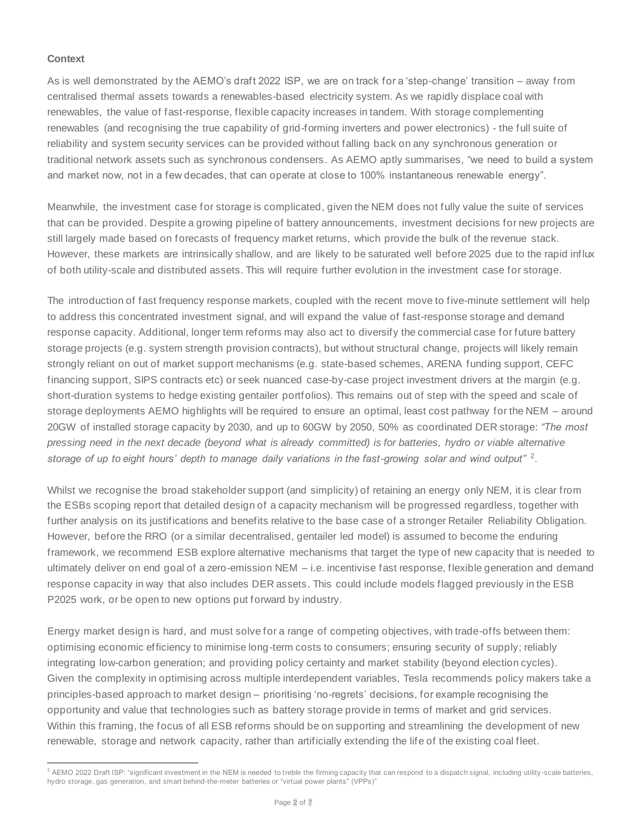#### **Context**

As is well demonstrated by the AEMO's draft 2022 ISP, we are on track for a 'step-change' transition – away from centralised thermal assets towards a renewables-based electricity system. As we rapidly displace coal with renewables, the value of fast-response, flexible capacity increases in tandem. With storage complementing renewables (and recognising the true capability of grid-forming inverters and power electronics) - the full suite of reliability and system security services can be provided without falling back on any synchronous generation or traditional network assets such as synchronous condensers. As AEMO aptly summarises, "we need to build a system and market now, not in a few decades, that can operate at close to 100% instantaneous renewable energy".

Meanwhile, the investment case for storage is complicated, given the NEM does not fully value the suite of services that can be provided. Despite a growing pipeline of battery announcements, investment decisions for new projects are still largely made based on forecasts of frequency market returns, which provide the bulk of the revenue stack. However, these markets are intrinsically shallow, and are likely to be saturated well before 2025 due to the rapid influx of both utility-scale and distributed assets. This will require further evolution in the investment case for storage.

The introduction of fast frequency response markets, coupled with the recent move to five-minute settlement will help to address this concentrated investment signal, and will expand the value of fast-response storage and demand response capacity. Additional, longer term reforms may also act to diversify the commercial case for future battery storage projects (e.g. system strength provision contracts), but without structural change, projects will likely remain strongly reliant on out of market support mechanisms (e.g. state-based schemes, ARENA funding support, CEFC financing support, SIPS contracts etc) or seek nuanced case-by-case project investment drivers at the margin (e.g. short-duration systems to hedge existing gentailer portfolios). This remains out of step with the speed and scale of storage deployments AEMO highlights will be required to ensure an optimal, least cost pathway for the NEM – around 20GW of installed storage capacity by 2030, and up to 60GW by 2050, 50% as coordinated DER storage: *"The most pressing need in the next decade (beyond what is already committed) is for batteries, hydro or viable alternative storage of up to eight hours' depth to manage daily variations in the fast-growing solar and wind output"* <sup>2</sup> .

Whilst we recognise the broad stakeholder support (and simplicity) of retaining an energy only NEM, it is clear from the ESBs scoping report that detailed design of a capacity mechanism will be progressed regardless, together with further analysis on its justifications and benefits relative to the base case of a stronger Retailer Reliability Obligation. However, before the RRO (or a similar decentralised, gentailer led model) is assumed to become the enduring framework, we recommend ESB explore alternative mechanisms that target the type of new capacity that is needed to ultimately deliver on end goal of a zero-emission NEM – i.e. incentivise fast response, flexible generation and demand response capacity in way that also includes DER assets. This could include models flagged previously in the ESB P2025 work, or be open to new options put forward by industry.

Energy market design is hard, and must solve for a range of competing objectives, with trade-offs between them: optimising economic efficiency to minimise long-term costs to consumers; ensuring security of supply; reliably integrating low-carbon generation; and providing policy certainty and market stability (beyond election cycles). Given the complexity in optimising across multiple interdependent variables, Tesla recommends policy makers take a principles-based approach to market design – prioritising 'no-regrets' decisions, for example recognising the opportunity and value that technologies such as battery storage provide in terms of market and grid services. Within this framing, the focus of all ESB reforms should be on supporting and streamlining the development of new renewable, storage and network capacity, rather than artificially extending the life of the existing coal fleet.

<sup>&</sup>lt;sup>2</sup> AEMO 2022 Draft ISP: "significant investment in the NEM is needed to treble the firming capacity that can respond to a dispatch signal, including utility-scale batteries, hydro storage, gas generation, and smart behind-the-meter batteries or "virtual power plants" (VPPs)"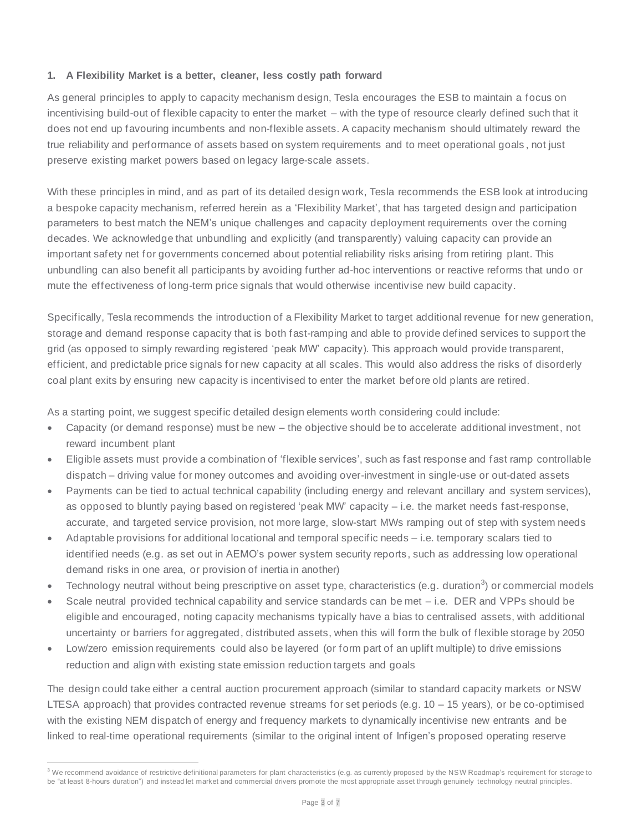### **1. A Flexibility Market is a better, cleaner, less costly path forward**

As general principles to apply to capacity mechanism design, Tesla encourages the ESB to maintain a focus on incentivising build-out of flexible capacity to enter the market – with the type of resource clearly defined such that it does not end up favouring incumbents and non-flexible assets. A capacity mechanism should ultimately reward the true reliability and performance of assets based on system requirements and to meet operational goals , not just preserve existing market powers based on legacy large-scale assets.

With these principles in mind, and as part of its detailed design work, Tesla recommends the ESB look at introducing a bespoke capacity mechanism, referred herein as a 'Flexibility Market', that has targeted design and participation parameters to best match the NEM's unique challenges and capacity deployment requirements over the coming decades. We acknowledge that unbundling and explicitly (and transparently) valuing capacity can provide an important safety net for governments concerned about potential reliability risks arising from retiring plant. This unbundling can also benefit all participants by avoiding further ad-hoc interventions or reactive reforms that undo or mute the effectiveness of long-term price signals that would otherwise incentivise new build capacity.

Specifically, Tesla recommends the introduction of a Flexibility Market to target additional revenue for new generation, storage and demand response capacity that is both fast-ramping and able to provide defined services to support the grid (as opposed to simply rewarding registered 'peak MW' capacity). This approach would provide transparent, efficient, and predictable price signals for new capacity at all scales. This would also address the risks of disorderly coal plant exits by ensuring new capacity is incentivised to enter the market before old plants are retired.

As a starting point, we suggest specific detailed design elements worth considering could include:

- Capacity (or demand response) must be new the objective should be to accelerate additional investment, not reward incumbent plant
- Eligible assets must provide a combination of 'flexible services', such as fast response and fast ramp controllable dispatch – driving value for money outcomes and avoiding over-investment in single-use or out-dated assets
- Payments can be tied to actual technical capability (including energy and relevant ancillary and system services), as opposed to bluntly paying based on registered 'peak MW' capacity – i.e. the market needs fast-response, accurate, and targeted service provision, not more large, slow-start MWs ramping out of step with system needs
- Adaptable provisions for additional locational and temporal specific needs i.e. temporary scalars tied to identified needs (e.g. as set out in AEMO's power system security reports, such as addressing low operational demand risks in one area, or provision of inertia in another)
- Technology neutral without being prescriptive on asset type, characteristics (e.g. duration<sup>3</sup>) or commercial models
- Scale neutral provided technical capability and service standards can be met i.e. DER and VPPs should be eligible and encouraged, noting capacity mechanisms typically have a bias to centralised assets, with additional uncertainty or barriers for aggregated, distributed assets, when this will form the bulk of flexible storage by 2050
- Low/zero emission requirements could also be layered (or form part of an uplift multiple) to drive emissions reduction and align with existing state emission reduction targets and goals

The design could take either a central auction procurement approach (similar to standard capacity markets or NSW LTESA approach) that provides contracted revenue streams for set periods (e.g. 10 – 15 years), or be co-optimised with the existing NEM dispatch of energy and frequency markets to dynamically incentivise new entrants and be linked to real-time operational requirements (similar to the original intent of Infigen's proposed operating reserve

 $3$  We recommend avoidance of restrictive definitional parameters for plant characteristics (e.g. as currently proposed by the NSW Roadmap's requirement for storage to be "at least 8-hours duration") and instead let market and commercial drivers promote the most appropriate asset through genuinely technology neutral principles.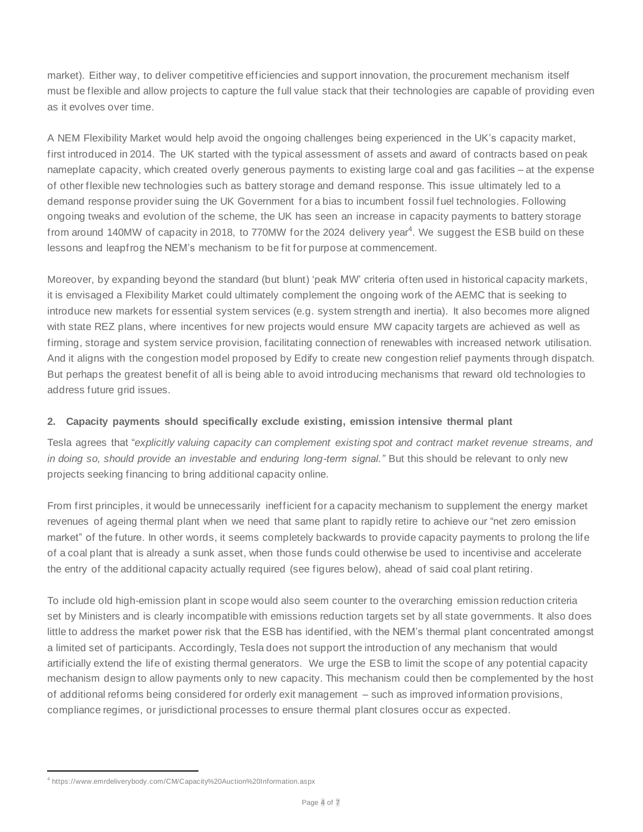market). Either way, to deliver competitive efficiencies and support innovation, the procurement mechanism itself must be flexible and allow projects to capture the full value stack that their technologies are capable of providing even as it evolves over time.

A NEM Flexibility Market would help avoid the ongoing challenges being experienced in the UK's capacity market, first introduced in 2014. The UK started with the typical assessment of assets and award of contracts based on peak nameplate capacity, which created overly generous payments to existing large coal and gas facilities – at the expense of other flexible new technologies such as battery storage and demand response. This issue ultimately led to a demand response provider suing the UK Government for a bias to incumbent fossil fuel technologies. Following ongoing tweaks and evolution of the scheme, the UK has seen an increase in capacity payments to battery storage from around 140MW of capacity in 2018, to 770MW for the 2024 delivery year<sup>4</sup>. We suggest the ESB build on these lessons and leapfrog the NEM's mechanism to be fit for purpose at commencement.

Moreover, by expanding beyond the standard (but blunt) 'peak MW' criteria often used in historical capacity markets, it is envisaged a Flexibility Market could ultimately complement the ongoing work of the AEMC that is seeking to introduce new markets for essential system services (e.g. system strength and inertia). It also becomes more aligned with state REZ plans, where incentives for new projects would ensure MW capacity targets are achieved as well as firming, storage and system service provision, facilitating connection of renewables with increased network utilisation. And it aligns with the congestion model proposed by Edify to create new congestion relief payments through dispatch. But perhaps the greatest benefit of all is being able to avoid introducing mechanisms that reward old technologies to address future grid issues.

### **2. Capacity payments should specifically exclude existing, emission intensive thermal plant**

Tesla agrees that "*explicitly valuing capacity can complement existing spot and contract market revenue streams, and in doing so, should provide an investable and enduring long-term signal."* But this should be relevant to only new projects seeking financing to bring additional capacity online.

From first principles, it would be unnecessarily inefficient for a capacity mechanism to supplement the energy market revenues of ageing thermal plant when we need that same plant to rapidly retire to achieve our "net zero emission market" of the future. In other words, it seems completely backwards to provide capacity payments to prolong the life of a coal plant that is already a sunk asset, when those funds could otherwise be used to incentivise and accelerate the entry of the additional capacity actually required (see figures below), ahead of said coal plant retiring.

To include old high-emission plant in scope would also seem counter to the overarching emission reduction criteria set by Ministers and is clearly incompatible with emissions reduction targets set by all state governments. It also does little to address the market power risk that the ESB has identified, with the NEM's thermal plant concentrated amongst a limited set of participants. Accordingly, Tesla does not support the introduction of any mechanism that would artificially extend the life of existing thermal generators. We urge the ESB to limit the scope of any potential capacity mechanism design to allow payments only to new capacity. This mechanism could then be complemented by the host of additional reforms being considered for orderly exit management – such as improved information provisions, compliance regimes, or jurisdictional processes to ensure thermal plant closures occur as expected.

<sup>4</sup> https://www.emrdeliverybody.com/CM/Capacity%20Auction%20Information.aspx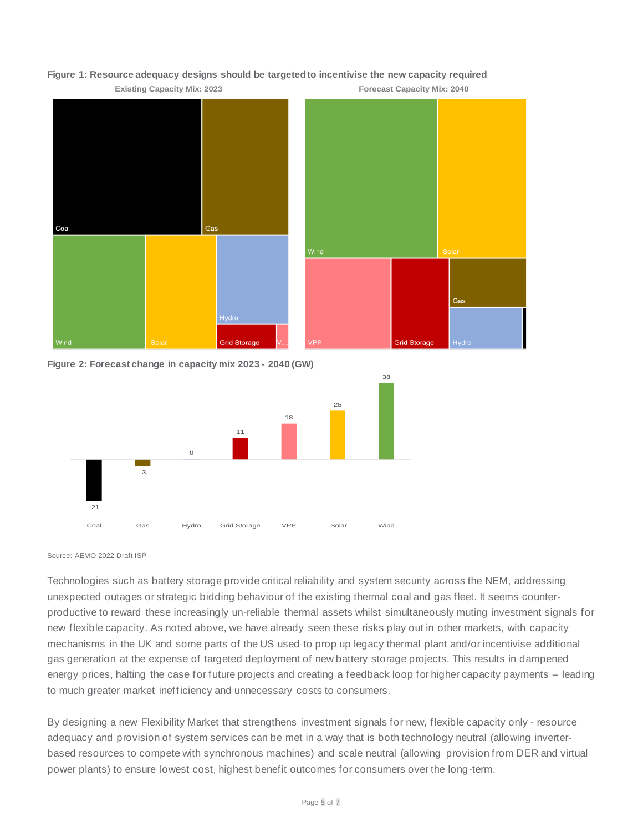

#### **Figure 1: Resource adequacy designs should be targeted to incentivise the new capacity required**

**Figure 2: Forecast change in capacity mix 2023 - 2040 (GW)** 



Source: AEMO 2022 Draft ISP

Technologies such as battery storage provide critical reliability and system security across the NEM, addressing unexpected outages or strategic bidding behaviour of the existing thermal coal and gas fleet. It seems counterproductive to reward these increasingly un-reliable thermal assets whilst simultaneously muting investment signals for new flexible capacity. As noted above, we have already seen these risks play out in other markets, with capacity mechanisms in the UK and some parts of the US used to prop up legacy thermal plant and/or incentivise additional gas generation at the expense of targeted deployment of new battery storage projects. This results in dampened energy prices, halting the case for future projects and creating a feedback loop for higher capacity payments – leading to much greater market inefficiency and unnecessary costs to consumers.

By designing a new Flexibility Market that strengthens investment signals for new, flexible capacity only - resource adequacy and provision of system services can be met in a way that is both technology neutral (allowing inverterbased resources to compete with synchronous machines) and scale neutral (allowing provision from DER and virtual power plants) to ensure lowest cost, highest benefit outcomes for consumers over the long-term.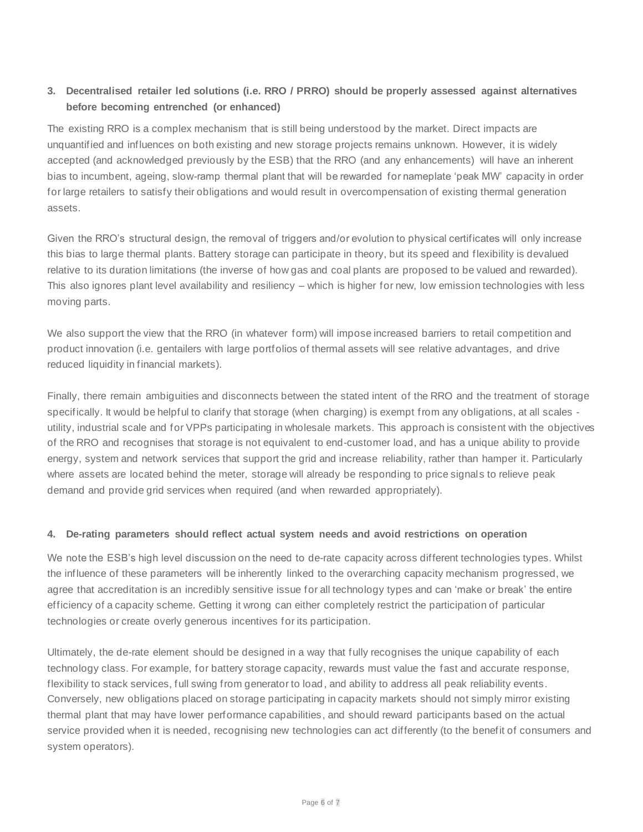# **3. Decentralised retailer led solutions (i.e. RRO / PRRO) should be properly assessed against alternatives before becoming entrenched (or enhanced)**

The existing RRO is a complex mechanism that is still being understood by the market. Direct impacts are unquantified and influences on both existing and new storage projects remains unknown. However, it is widely accepted (and acknowledged previously by the ESB) that the RRO (and any enhancements) will have an inherent bias to incumbent, ageing, slow-ramp thermal plant that will be rewarded for nameplate 'peak MW' capacity in order for large retailers to satisfy their obligations and would result in overcompensation of existing thermal generation assets.

Given the RRO's structural design, the removal of triggers and/or evolution to physical certificates will only increase this bias to large thermal plants. Battery storage can participate in theory, but its speed and flexibility is devalued relative to its duration limitations (the inverse of how gas and coal plants are proposed to be valued and rewarded). This also ignores plant level availability and resiliency – which is higher for new, low emission technologies with less moving parts.

We also support the view that the RRO (in whatever form) will impose increased barriers to retail competition and product innovation (i.e. gentailers with large portfolios of thermal assets will see relative advantages, and drive reduced liquidity in financial markets).

Finally, there remain ambiguities and disconnects between the stated intent of the RRO and the treatment of storage specifically. It would be helpful to clarify that storage (when charging) is exempt from any obligations, at all scales utility, industrial scale and for VPPs participating in wholesale markets. This approach is consistent with the objectives of the RRO and recognises that storage is not equivalent to end-customer load, and has a unique ability to provide energy, system and network services that support the grid and increase reliability, rather than hamper it. Particularly where assets are located behind the meter, storage will already be responding to price signals to relieve peak demand and provide grid services when required (and when rewarded appropriately).

### **4. De-rating parameters should reflect actual system needs and avoid restrictions on operation**

We note the ESB's high level discussion on the need to de-rate capacity across different technologies types. Whilst the influence of these parameters will be inherently linked to the overarching capacity mechanism progressed, we agree that accreditation is an incredibly sensitive issue for all technology types and can 'make or break' the entire efficiency of a capacity scheme. Getting it wrong can either completely restrict the participation of particular technologies or create overly generous incentives for its participation.

Ultimately, the de-rate element should be designed in a way that fully recognises the unique capability of each technology class. For example, for battery storage capacity, rewards must value the fast and accurate response, flexibility to stack services, full swing from generator to load, and ability to address all peak reliability events. Conversely, new obligations placed on storage participating in capacity markets should not simply mirror existing thermal plant that may have lower performance capabilities, and should reward participants based on the actual service provided when it is needed, recognising new technologies can act differently (to the benefit of consumers and system operators).